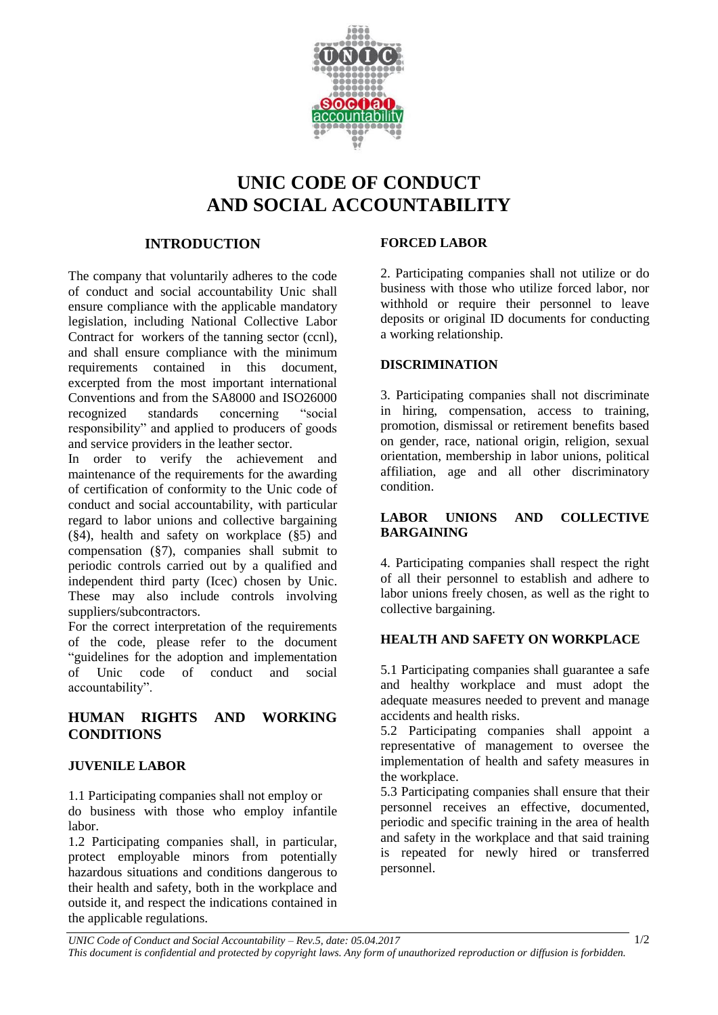

# **UNIC CODE OF CONDUCT AND SOCIAL ACCOUNTABILITY**

## **INTRODUCTION**

The company that voluntarily adheres to the code of conduct and social accountability Unic shall ensure compliance with the applicable mandatory legislation, including National Collective Labor Contract for workers of the tanning sector (ccnl), and shall ensure compliance with the minimum requirements contained in this document, excerpted from the most important international Conventions and from the SA8000 and ISO26000 recognized standards concerning "social responsibility" and applied to producers of goods and service providers in the leather sector.

In order to verify the achievement and maintenance of the requirements for the awarding of certification of conformity to the Unic code of conduct and social accountability, with particular regard to labor unions and collective bargaining (§4), health and safety on workplace (§5) and compensation (§7), companies shall submit to periodic controls carried out by a qualified and independent third party (Icec) chosen by Unic. These may also include controls involving suppliers/subcontractors.

For the correct interpretation of the requirements of the code, please refer to the document "guidelines for the adoption and implementation of Unic code of conduct and social accountability".

## **HUMAN RIGHTS AND WORKING CONDITIONS**

## **JUVENILE LABOR**

1.1 Participating companies shall not employ or do business with those who employ infantile labor.

1.2 Participating companies shall, in particular, protect employable minors from potentially hazardous situations and conditions dangerous to their health and safety, both in the workplace and outside it, and respect the indications contained in the applicable regulations.

#### **FORCED LABOR**

2. Participating companies shall not utilize or do business with those who utilize forced labor, nor withhold or require their personnel to leave deposits or original ID documents for conducting a working relationship.

#### **DISCRIMINATION**

3. Participating companies shall not discriminate in hiring, compensation, access to training, promotion, dismissal or retirement benefits based on gender, race, national origin, religion, sexual orientation, membership in labor unions, political affiliation, age and all other discriminatory condition.

## **LABOR UNIONS AND COLLECTIVE BARGAINING**

4. Participating companies shall respect the right of all their personnel to establish and adhere to labor unions freely chosen, as well as the right to collective bargaining.

## **HEALTH AND SAFETY ON WORKPLACE**

5.1 Participating companies shall guarantee a safe and healthy workplace and must adopt the adequate measures needed to prevent and manage accidents and health risks.

5.2 Participating companies shall appoint a representative of management to oversee the implementation of health and safety measures in the workplace.

5.3 Participating companies shall ensure that their personnel receives an effective, documented, periodic and specific training in the area of health and safety in the workplace and that said training is repeated for newly hired or transferred personnel.